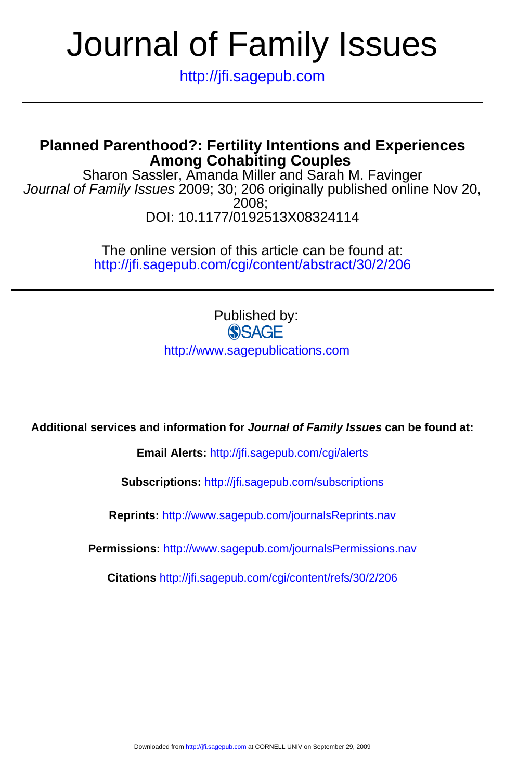# Journal of Family Issues

http://jfi.sagepub.com

# **Among Cohabiting Couples Planned Parenthood?: Fertility Intentions and Experiences**

DOI: 10.1177/0192513X08324114 2008; Journal of Family Issues 2009; 30; 206 originally published online Nov 20, Sharon Sassler, Amanda Miller and Sarah M. Favinger

> http://jfi.sagepub.com/cgi/content/abstract/30/2/206 The online version of this article can be found at:

> > Published by:<br>SAGE http://www.sagepublications.com

**Additional services and information for Journal of Family Issues can be found at:**

**Email Alerts:** <http://jfi.sagepub.com/cgi/alerts>

**Subscriptions:** <http://jfi.sagepub.com/subscriptions>

**Reprints:** <http://www.sagepub.com/journalsReprints.nav>

**Permissions:** <http://www.sagepub.com/journalsPermissions.nav>

**Citations** <http://jfi.sagepub.com/cgi/content/refs/30/2/206>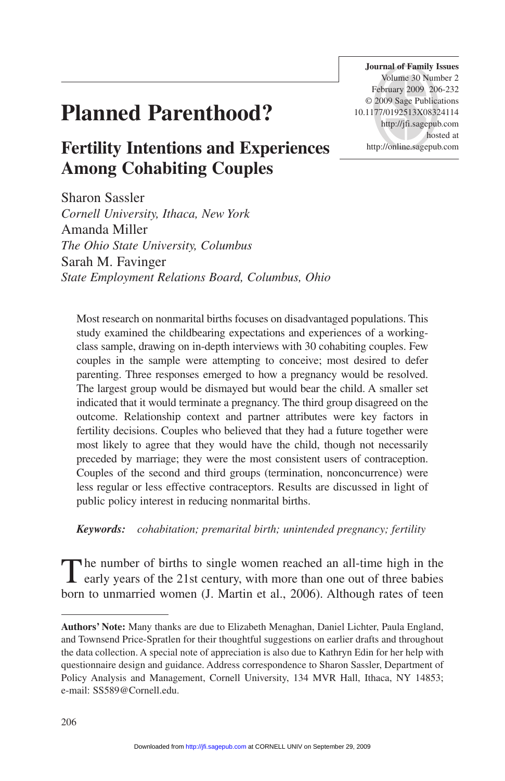**Journal of Family Issues** Volume 30 Number 2 February 2009 206-232 © 2009 Sage Publications 10.1177/0192513X08324114 http://jfi.sagepub.com hosted at http://online.sagepub.com

# **Planned Parenthood?**

# **Fertility Intentions and Experiences Among Cohabiting Couples**

Sharon Sassler *Cornell University, Ithaca, New York* Amanda Miller *The Ohio State University, Columbus* Sarah M. Favinger *State Employment Relations Board, Columbus, Ohio*

Most research on nonmarital births focuses on disadvantaged populations. This study examined the childbearing expectations and experiences of a workingclass sample, drawing on in-depth interviews with 30 cohabiting couples. Few couples in the sample were attempting to conceive; most desired to defer parenting. Three responses emerged to how a pregnancy would be resolved. The largest group would be dismayed but would bear the child. A smaller set indicated that it would terminate a pregnancy. The third group disagreed on the outcome. Relationship context and partner attributes were key factors in fertility decisions. Couples who believed that they had a future together were most likely to agree that they would have the child, though not necessarily preceded by marriage; they were the most consistent users of contraception. Couples of the second and third groups (termination, nonconcurrence) were less regular or less effective contraceptors. Results are discussed in light of public policy interest in reducing nonmarital births.

*Keywords: cohabitation; premarital birth; unintended pregnancy; fertility*

The number of births to single women reached an all-time high in the early years of the 21st century, with more than one out of three babies born to unmarried women (J. Martin et al., 2006). Although rates of teen

**Authors' Note:** Many thanks are due to Elizabeth Menaghan, Daniel Lichter, Paula England, and Townsend Price-Spratlen for their thoughtful suggestions on earlier drafts and throughout the data collection. A special note of appreciation is also due to Kathryn Edin for her help with questionnaire design and guidance. Address correspondence to Sharon Sassler, Department of Policy Analysis and Management, Cornell University, 134 MVR Hall, Ithaca, NY 14853; e-mail: SS589@Cornell.edu.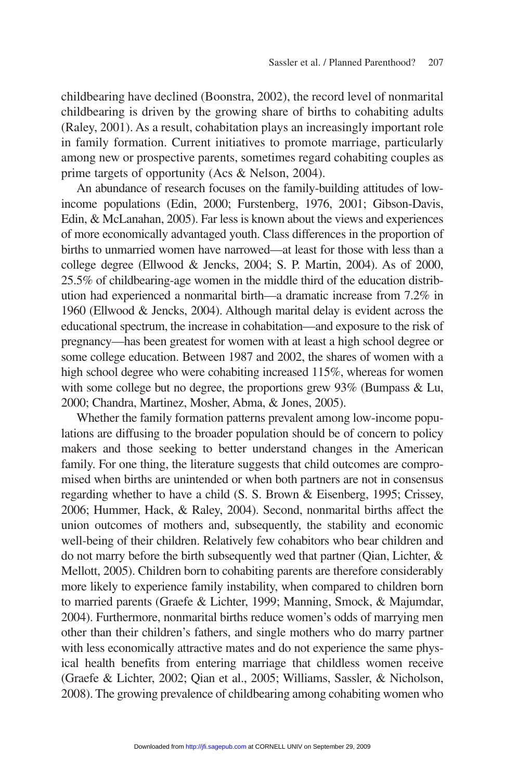childbearing have declined (Boonstra, 2002), the record level of nonmarital childbearing is driven by the growing share of births to cohabiting adults (Raley, 2001). As a result, cohabitation plays an increasingly important role in family formation. Current initiatives to promote marriage, particularly among new or prospective parents, sometimes regard cohabiting couples as prime targets of opportunity (Acs & Nelson, 2004).

An abundance of research focuses on the family-building attitudes of lowincome populations (Edin, 2000; Furstenberg, 1976, 2001; Gibson-Davis, Edin, & McLanahan, 2005). Far less is known about the views and experiences of more economically advantaged youth. Class differences in the proportion of births to unmarried women have narrowed—at least for those with less than a college degree (Ellwood & Jencks, 2004; S. P. Martin, 2004). As of 2000, 25.5% of childbearing-age women in the middle third of the education distribution had experienced a nonmarital birth—a dramatic increase from 7.2% in 1960 (Ellwood & Jencks, 2004). Although marital delay is evident across the educational spectrum, the increase in cohabitation—and exposure to the risk of pregnancy—has been greatest for women with at least a high school degree or some college education. Between 1987 and 2002, the shares of women with a high school degree who were cohabiting increased 115%, whereas for women with some college but no degree, the proportions grew 93% (Bumpass & Lu, 2000; Chandra, Martinez, Mosher, Abma, & Jones, 2005).

Whether the family formation patterns prevalent among low-income populations are diffusing to the broader population should be of concern to policy makers and those seeking to better understand changes in the American family. For one thing, the literature suggests that child outcomes are compromised when births are unintended or when both partners are not in consensus regarding whether to have a child (S. S. Brown & Eisenberg, 1995; Crissey, 2006; Hummer, Hack, & Raley, 2004). Second, nonmarital births affect the union outcomes of mothers and, subsequently, the stability and economic well-being of their children. Relatively few cohabitors who bear children and do not marry before the birth subsequently wed that partner (Qian, Lichter, & Mellott, 2005). Children born to cohabiting parents are therefore considerably more likely to experience family instability, when compared to children born to married parents (Graefe & Lichter, 1999; Manning, Smock, & Majumdar, 2004). Furthermore, nonmarital births reduce women's odds of marrying men other than their children's fathers, and single mothers who do marry partner with less economically attractive mates and do not experience the same physical health benefits from entering marriage that childless women receive (Graefe & Lichter, 2002; Qian et al., 2005; Williams, Sassler, & Nicholson, 2008). The growing prevalence of childbearing among cohabiting women who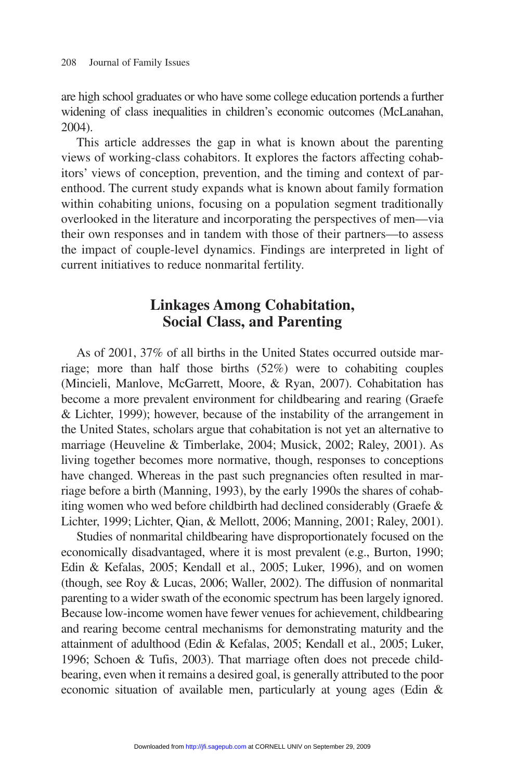are high school graduates or who have some college education portends a further widening of class inequalities in children's economic outcomes (McLanahan, 2004).

This article addresses the gap in what is known about the parenting views of working-class cohabitors. It explores the factors affecting cohabitors' views of conception, prevention, and the timing and context of parenthood. The current study expands what is known about family formation within cohabiting unions, focusing on a population segment traditionally overlooked in the literature and incorporating the perspectives of men—via their own responses and in tandem with those of their partners—to assess the impact of couple-level dynamics. Findings are interpreted in light of current initiatives to reduce nonmarital fertility.

# **Linkages Among Cohabitation, Social Class, and Parenting**

As of 2001, 37% of all births in the United States occurred outside marriage; more than half those births (52%) were to cohabiting couples (Mincieli, Manlove, McGarrett, Moore, & Ryan, 2007). Cohabitation has become a more prevalent environment for childbearing and rearing (Graefe & Lichter, 1999); however, because of the instability of the arrangement in the United States, scholars argue that cohabitation is not yet an alternative to marriage (Heuveline & Timberlake, 2004; Musick, 2002; Raley, 2001). As living together becomes more normative, though, responses to conceptions have changed. Whereas in the past such pregnancies often resulted in marriage before a birth (Manning, 1993), by the early 1990s the shares of cohabiting women who wed before childbirth had declined considerably (Graefe & Lichter, 1999; Lichter, Qian, & Mellott, 2006; Manning, 2001; Raley, 2001).

Studies of nonmarital childbearing have disproportionately focused on the economically disadvantaged, where it is most prevalent (e.g., Burton, 1990; Edin & Kefalas, 2005; Kendall et al., 2005; Luker, 1996), and on women (though, see Roy & Lucas, 2006; Waller, 2002). The diffusion of nonmarital parenting to a wider swath of the economic spectrum has been largely ignored. Because low-income women have fewer venues for achievement, childbearing and rearing become central mechanisms for demonstrating maturity and the attainment of adulthood (Edin & Kefalas, 2005; Kendall et al., 2005; Luker, 1996; Schoen & Tufis, 2003). That marriage often does not precede childbearing, even when it remains a desired goal, is generally attributed to the poor economic situation of available men, particularly at young ages (Edin &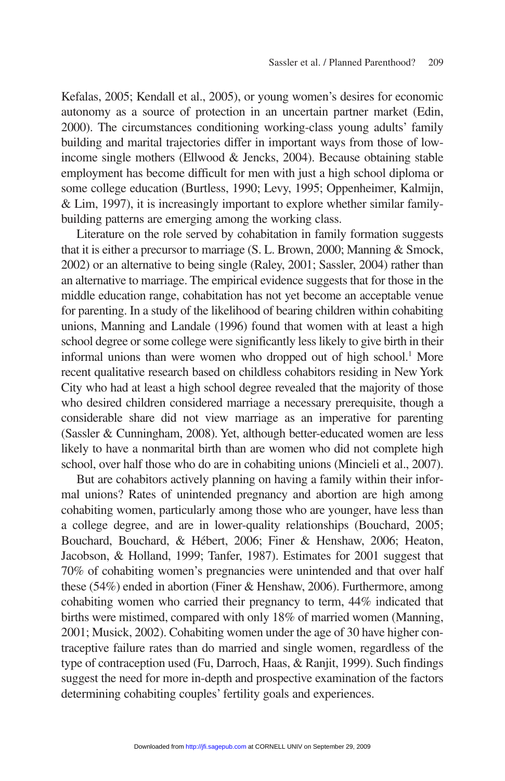Kefalas, 2005; Kendall et al., 2005), or young women's desires for economic autonomy as a source of protection in an uncertain partner market (Edin, 2000). The circumstances conditioning working-class young adults' family building and marital trajectories differ in important ways from those of lowincome single mothers (Ellwood & Jencks, 2004). Because obtaining stable employment has become difficult for men with just a high school diploma or some college education (Burtless, 1990; Levy, 1995; Oppenheimer, Kalmijn, & Lim, 1997), it is increasingly important to explore whether similar familybuilding patterns are emerging among the working class.

Literature on the role served by cohabitation in family formation suggests that it is either a precursor to marriage (S. L. Brown, 2000; Manning & Smock, 2002) or an alternative to being single (Raley, 2001; Sassler, 2004) rather than an alternative to marriage. The empirical evidence suggests that for those in the middle education range, cohabitation has not yet become an acceptable venue for parenting. In a study of the likelihood of bearing children within cohabiting unions, Manning and Landale (1996) found that women with at least a high school degree or some college were significantly less likely to give birth in their informal unions than were women who dropped out of high school.<sup>1</sup> More recent qualitative research based on childless cohabitors residing in New York City who had at least a high school degree revealed that the majority of those who desired children considered marriage a necessary prerequisite, though a considerable share did not view marriage as an imperative for parenting (Sassler & Cunningham, 2008). Yet, although better-educated women are less likely to have a nonmarital birth than are women who did not complete high school, over half those who do are in cohabiting unions (Mincieli et al., 2007).

But are cohabitors actively planning on having a family within their informal unions? Rates of unintended pregnancy and abortion are high among cohabiting women, particularly among those who are younger, have less than a college degree, and are in lower-quality relationships (Bouchard, 2005; Bouchard, Bouchard, & Hébert, 2006; Finer & Henshaw, 2006; Heaton, Jacobson, & Holland, 1999; Tanfer, 1987). Estimates for 2001 suggest that 70% of cohabiting women's pregnancies were unintended and that over half these (54%) ended in abortion (Finer & Henshaw, 2006). Furthermore, among cohabiting women who carried their pregnancy to term, 44% indicated that births were mistimed, compared with only 18% of married women (Manning, 2001; Musick, 2002). Cohabiting women under the age of 30 have higher contraceptive failure rates than do married and single women, regardless of the type of contraception used (Fu, Darroch, Haas, & Ranjit, 1999). Such findings suggest the need for more in-depth and prospective examination of the factors determining cohabiting couples' fertility goals and experiences.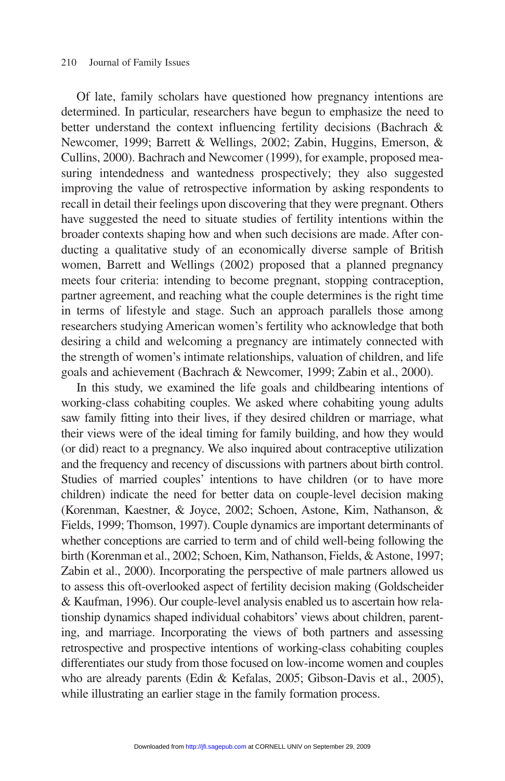Of late, family scholars have questioned how pregnancy intentions are determined. In particular, researchers have begun to emphasize the need to better understand the context influencing fertility decisions (Bachrach & Newcomer, 1999; Barrett & Wellings, 2002; Zabin, Huggins, Emerson, & Cullins, 2000). Bachrach and Newcomer (1999), for example, proposed measuring intendedness and wantedness prospectively; they also suggested improving the value of retrospective information by asking respondents to recall in detail their feelings upon discovering that they were pregnant. Others have suggested the need to situate studies of fertility intentions within the broader contexts shaping how and when such decisions are made. After conducting a qualitative study of an economically diverse sample of British women, Barrett and Wellings (2002) proposed that a planned pregnancy meets four criteria: intending to become pregnant, stopping contraception, partner agreement, and reaching what the couple determines is the right time in terms of lifestyle and stage. Such an approach parallels those among researchers studying American women's fertility who acknowledge that both desiring a child and welcoming a pregnancy are intimately connected with the strength of women's intimate relationships, valuation of children, and life goals and achievement (Bachrach & Newcomer, 1999; Zabin et al., 2000).

In this study, we examined the life goals and childbearing intentions of working-class cohabiting couples. We asked where cohabiting young adults saw family fitting into their lives, if they desired children or marriage, what their views were of the ideal timing for family building, and how they would (or did) react to a pregnancy. We also inquired about contraceptive utilization and the frequency and recency of discussions with partners about birth control. Studies of married couples' intentions to have children (or to have more children) indicate the need for better data on couple-level decision making (Korenman, Kaestner, & Joyce, 2002; Schoen, Astone, Kim, Nathanson, & Fields, 1999; Thomson, 1997). Couple dynamics are important determinants of whether conceptions are carried to term and of child well-being following the birth (Korenman et al., 2002; Schoen, Kim, Nathanson, Fields, & Astone, 1997; Zabin et al., 2000). Incorporating the perspective of male partners allowed us to assess this oft-overlooked aspect of fertility decision making (Goldscheider & Kaufman, 1996). Our couple-level analysis enabled us to ascertain how relationship dynamics shaped individual cohabitors' views about children, parenting, and marriage. Incorporating the views of both partners and assessing retrospective and prospective intentions of working-class cohabiting couples differentiates our study from those focused on low-income women and couples who are already parents (Edin & Kefalas, 2005; Gibson-Davis et al., 2005), while illustrating an earlier stage in the family formation process.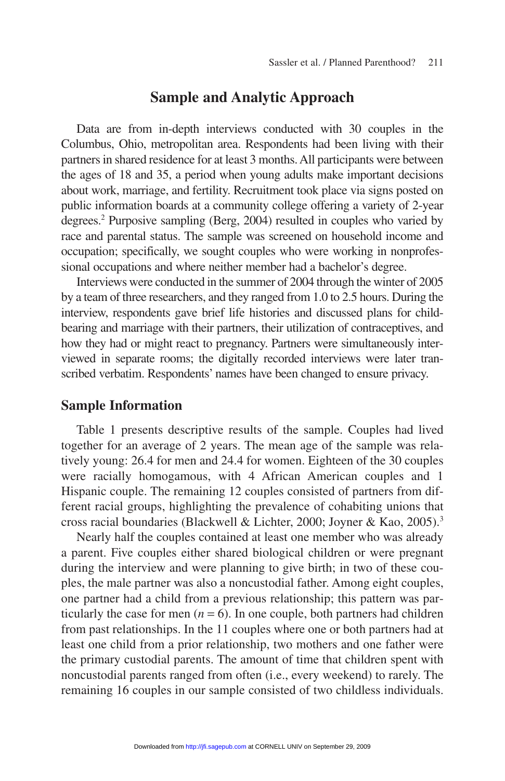#### **Sample and Analytic Approach**

Data are from in-depth interviews conducted with 30 couples in the Columbus, Ohio, metropolitan area. Respondents had been living with their partners in shared residence for at least 3 months. All participants were between the ages of 18 and 35, a period when young adults make important decisions about work, marriage, and fertility. Recruitment took place via signs posted on public information boards at a community college offering a variety of 2-year degrees.2 Purposive sampling (Berg, 2004) resulted in couples who varied by race and parental status. The sample was screened on household income and occupation; specifically, we sought couples who were working in nonprofessional occupations and where neither member had a bachelor's degree.

Interviews were conducted in the summer of 2004 through the winter of 2005 by a team of three researchers, and they ranged from 1.0 to 2.5 hours. During the interview, respondents gave brief life histories and discussed plans for childbearing and marriage with their partners, their utilization of contraceptives, and how they had or might react to pregnancy. Partners were simultaneously interviewed in separate rooms; the digitally recorded interviews were later transcribed verbatim. Respondents' names have been changed to ensure privacy.

#### **Sample Information**

Table 1 presents descriptive results of the sample. Couples had lived together for an average of 2 years. The mean age of the sample was relatively young: 26.4 for men and 24.4 for women. Eighteen of the 30 couples were racially homogamous, with 4 African American couples and 1 Hispanic couple. The remaining 12 couples consisted of partners from different racial groups, highlighting the prevalence of cohabiting unions that cross racial boundaries (Blackwell & Lichter, 2000; Joyner & Kao, 2005).<sup>3</sup>

Nearly half the couples contained at least one member who was already a parent. Five couples either shared biological children or were pregnant during the interview and were planning to give birth; in two of these couples, the male partner was also a noncustodial father. Among eight couples, one partner had a child from a previous relationship; this pattern was particularly the case for men  $(n = 6)$ . In one couple, both partners had children from past relationships. In the 11 couples where one or both partners had at least one child from a prior relationship, two mothers and one father were the primary custodial parents. The amount of time that children spent with noncustodial parents ranged from often (i.e., every weekend) to rarely. The remaining 16 couples in our sample consisted of two childless individuals.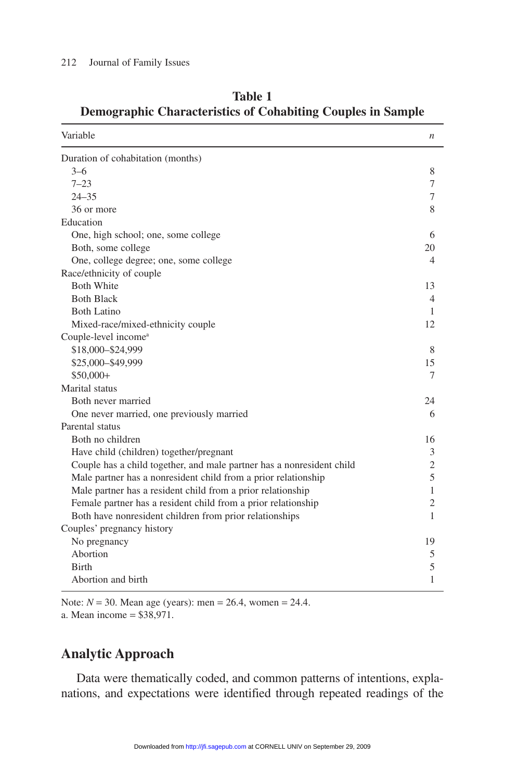#### 212 Journal of Family Issues

| Variable                                                              | $\boldsymbol{n}$ |
|-----------------------------------------------------------------------|------------------|
| Duration of cohabitation (months)                                     |                  |
| $3-6$                                                                 | 8                |
| $7 - 23$                                                              | 7                |
| $24 - 35$                                                             | 7                |
| 36 or more                                                            | 8                |
| Education                                                             |                  |
| One, high school; one, some college                                   | 6                |
| Both, some college                                                    | 20               |
| One, college degree; one, some college                                | 4                |
| Race/ethnicity of couple                                              |                  |
| <b>Both White</b>                                                     | 13               |
| <b>Both Black</b>                                                     | 4                |
| Both Latino                                                           | 1                |
| Mixed-race/mixed-ethnicity couple                                     | 12               |
| Couple-level income <sup>a</sup>                                      |                  |
| \$18,000-\$24,999                                                     | 8                |
| \$25,000-\$49,999                                                     | 15               |
| $$50,000+$                                                            | 7                |
| Marital status                                                        |                  |
| Both never married                                                    | 24               |
| One never married, one previously married                             | 6                |
| Parental status                                                       |                  |
| Both no children                                                      | 16               |
| Have child (children) together/pregnant                               | 3                |
| Couple has a child together, and male partner has a nonresident child | $\mathfrak{2}$   |
| Male partner has a nonresident child from a prior relationship        | 5                |
| Male partner has a resident child from a prior relationship           | 1                |
| Female partner has a resident child from a prior relationship         | $\overline{2}$   |
| Both have nonresident children from prior relationships               | 1                |
| Couples' pregnancy history                                            |                  |
| No pregnancy                                                          | 19               |
| Abortion                                                              | 5                |
| <b>Birth</b>                                                          | 5                |
| Abortion and birth                                                    | 1                |

**Table 1 Demographic Characteristics of Cohabiting Couples in Sample**

Note:  $N = 30$ . Mean age (years): men = 26.4, women = 24.4. a. Mean income = \$38,971.

# **Analytic Approach**

Data were thematically coded, and common patterns of intentions, explanations, and expectations were identified through repeated readings of the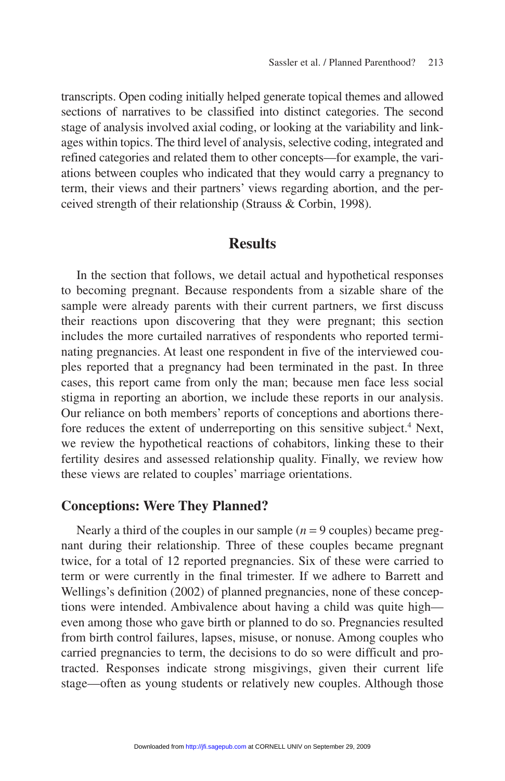transcripts. Open coding initially helped generate topical themes and allowed sections of narratives to be classified into distinct categories. The second stage of analysis involved axial coding, or looking at the variability and linkages within topics. The third level of analysis, selective coding, integrated and refined categories and related them to other concepts—for example, the variations between couples who indicated that they would carry a pregnancy to term, their views and their partners' views regarding abortion, and the perceived strength of their relationship (Strauss & Corbin, 1998).

#### **Results**

In the section that follows, we detail actual and hypothetical responses to becoming pregnant. Because respondents from a sizable share of the sample were already parents with their current partners, we first discuss their reactions upon discovering that they were pregnant; this section includes the more curtailed narratives of respondents who reported terminating pregnancies. At least one respondent in five of the interviewed couples reported that a pregnancy had been terminated in the past. In three cases, this report came from only the man; because men face less social stigma in reporting an abortion, we include these reports in our analysis. Our reliance on both members' reports of conceptions and abortions therefore reduces the extent of underreporting on this sensitive subject.<sup>4</sup> Next, we review the hypothetical reactions of cohabitors, linking these to their fertility desires and assessed relationship quality. Finally, we review how these views are related to couples' marriage orientations.

#### **Conceptions: Were They Planned?**

Nearly a third of the couples in our sample  $(n = 9$  couples) became pregnant during their relationship. Three of these couples became pregnant twice, for a total of 12 reported pregnancies. Six of these were carried to term or were currently in the final trimester. If we adhere to Barrett and Wellings's definition (2002) of planned pregnancies, none of these conceptions were intended. Ambivalence about having a child was quite high even among those who gave birth or planned to do so. Pregnancies resulted from birth control failures, lapses, misuse, or nonuse. Among couples who carried pregnancies to term, the decisions to do so were difficult and protracted. Responses indicate strong misgivings, given their current life stage—often as young students or relatively new couples. Although those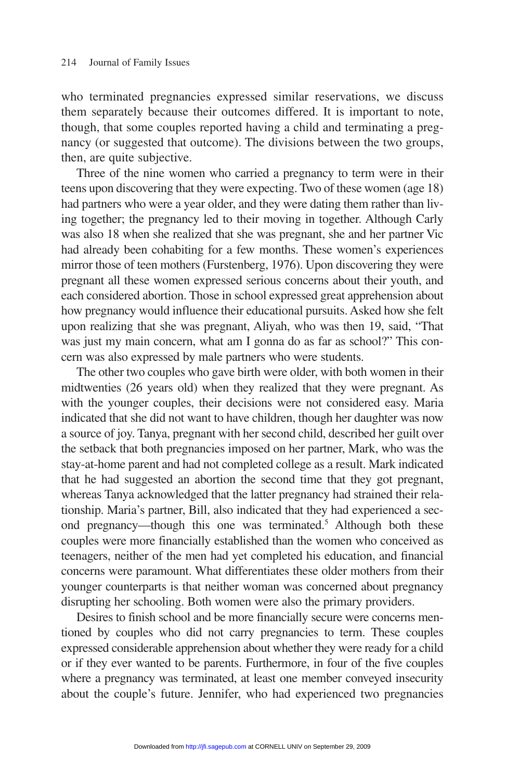who terminated pregnancies expressed similar reservations, we discuss them separately because their outcomes differed. It is important to note, though, that some couples reported having a child and terminating a pregnancy (or suggested that outcome). The divisions between the two groups, then, are quite subjective.

Three of the nine women who carried a pregnancy to term were in their teens upon discovering that they were expecting. Two of these women (age 18) had partners who were a year older, and they were dating them rather than living together; the pregnancy led to their moving in together. Although Carly was also 18 when she realized that she was pregnant, she and her partner Vic had already been cohabiting for a few months. These women's experiences mirror those of teen mothers (Furstenberg, 1976). Upon discovering they were pregnant all these women expressed serious concerns about their youth, and each considered abortion. Those in school expressed great apprehension about how pregnancy would influence their educational pursuits. Asked how she felt upon realizing that she was pregnant, Aliyah, who was then 19, said, "That was just my main concern, what am I gonna do as far as school?" This concern was also expressed by male partners who were students.

The other two couples who gave birth were older, with both women in their midtwenties (26 years old) when they realized that they were pregnant. As with the younger couples, their decisions were not considered easy. Maria indicated that she did not want to have children, though her daughter was now a source of joy. Tanya, pregnant with her second child, described her guilt over the setback that both pregnancies imposed on her partner, Mark, who was the stay-at-home parent and had not completed college as a result. Mark indicated that he had suggested an abortion the second time that they got pregnant, whereas Tanya acknowledged that the latter pregnancy had strained their relationship. Maria's partner, Bill, also indicated that they had experienced a second pregnancy—though this one was terminated.<sup>5</sup> Although both these couples were more financially established than the women who conceived as teenagers, neither of the men had yet completed his education, and financial concerns were paramount. What differentiates these older mothers from their younger counterparts is that neither woman was concerned about pregnancy disrupting her schooling. Both women were also the primary providers.

Desires to finish school and be more financially secure were concerns mentioned by couples who did not carry pregnancies to term. These couples expressed considerable apprehension about whether they were ready for a child or if they ever wanted to be parents. Furthermore, in four of the five couples where a pregnancy was terminated, at least one member conveyed insecurity about the couple's future. Jennifer, who had experienced two pregnancies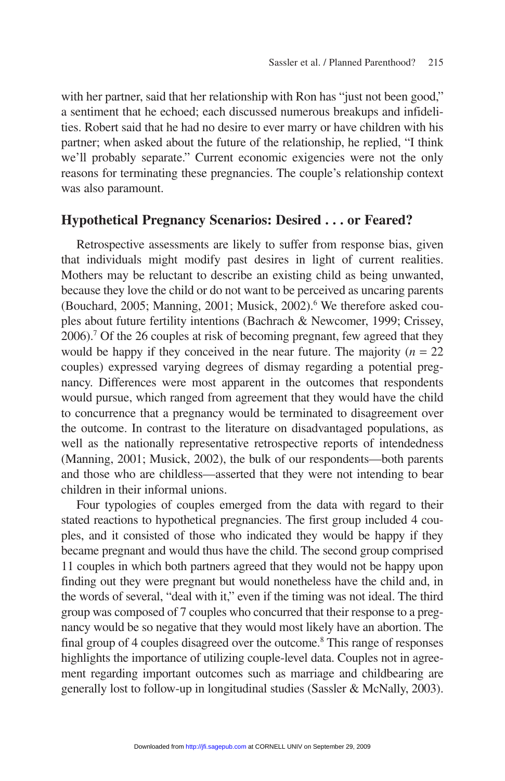with her partner, said that her relationship with Ron has "just not been good," a sentiment that he echoed; each discussed numerous breakups and infidelities. Robert said that he had no desire to ever marry or have children with his partner; when asked about the future of the relationship, he replied, "I think we'll probably separate." Current economic exigencies were not the only reasons for terminating these pregnancies. The couple's relationship context was also paramount.

#### **Hypothetical Pregnancy Scenarios: Desired . . . or Feared?**

Retrospective assessments are likely to suffer from response bias, given that individuals might modify past desires in light of current realities. Mothers may be reluctant to describe an existing child as being unwanted, because they love the child or do not want to be perceived as uncaring parents (Bouchard, 2005; Manning, 2001; Musick, 2002).<sup>6</sup> We therefore asked couples about future fertility intentions (Bachrach & Newcomer, 1999; Crissey, 2006).7 Of the 26 couples at risk of becoming pregnant, few agreed that they would be happy if they conceived in the near future. The majority  $(n = 22)$ couples) expressed varying degrees of dismay regarding a potential pregnancy. Differences were most apparent in the outcomes that respondents would pursue, which ranged from agreement that they would have the child to concurrence that a pregnancy would be terminated to disagreement over the outcome. In contrast to the literature on disadvantaged populations, as well as the nationally representative retrospective reports of intendedness (Manning, 2001; Musick, 2002), the bulk of our respondents—both parents and those who are childless—asserted that they were not intending to bear children in their informal unions.

Four typologies of couples emerged from the data with regard to their stated reactions to hypothetical pregnancies. The first group included 4 couples, and it consisted of those who indicated they would be happy if they became pregnant and would thus have the child. The second group comprised 11 couples in which both partners agreed that they would not be happy upon finding out they were pregnant but would nonetheless have the child and, in the words of several, "deal with it," even if the timing was not ideal. The third group was composed of 7 couples who concurred that their response to a pregnancy would be so negative that they would most likely have an abortion. The final group of 4 couples disagreed over the outcome.<sup>8</sup> This range of responses highlights the importance of utilizing couple-level data. Couples not in agreement regarding important outcomes such as marriage and childbearing are generally lost to follow-up in longitudinal studies (Sassler & McNally, 2003).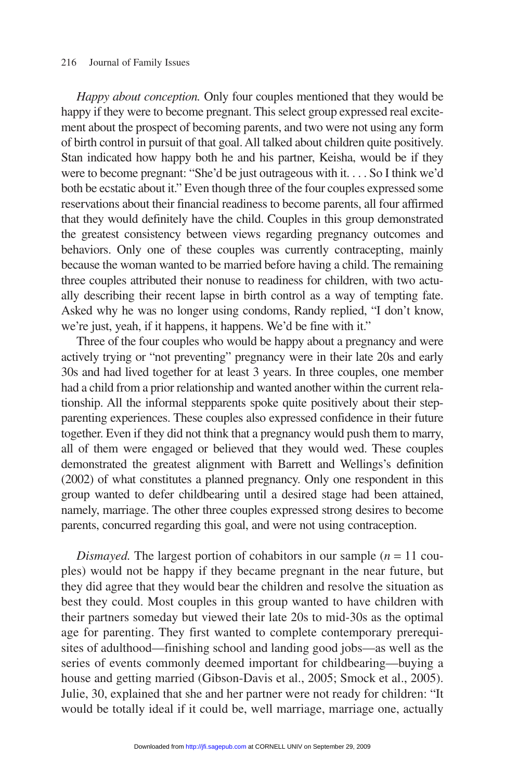*Happy about conception.* Only four couples mentioned that they would be happy if they were to become pregnant. This select group expressed real excitement about the prospect of becoming parents, and two were not using any form of birth control in pursuit of that goal. All talked about children quite positively. Stan indicated how happy both he and his partner, Keisha, would be if they were to become pregnant: "She'd be just outrageous with it. . . . So I think we'd both be ecstatic about it." Even though three of the four couples expressed some reservations about their financial readiness to become parents, all four affirmed that they would definitely have the child. Couples in this group demonstrated the greatest consistency between views regarding pregnancy outcomes and behaviors. Only one of these couples was currently contracepting, mainly because the woman wanted to be married before having a child. The remaining three couples attributed their nonuse to readiness for children, with two actually describing their recent lapse in birth control as a way of tempting fate. Asked why he was no longer using condoms, Randy replied, "I don't know, we're just, yeah, if it happens, it happens. We'd be fine with it."

Three of the four couples who would be happy about a pregnancy and were actively trying or "not preventing" pregnancy were in their late 20s and early 30s and had lived together for at least 3 years. In three couples, one member had a child from a prior relationship and wanted another within the current relationship. All the informal stepparents spoke quite positively about their stepparenting experiences. These couples also expressed confidence in their future together. Even if they did not think that a pregnancy would push them to marry, all of them were engaged or believed that they would wed. These couples demonstrated the greatest alignment with Barrett and Wellings's definition (2002) of what constitutes a planned pregnancy. Only one respondent in this group wanted to defer childbearing until a desired stage had been attained, namely, marriage. The other three couples expressed strong desires to become parents, concurred regarding this goal, and were not using contraception.

*Dismayed.* The largest portion of cohabitors in our sample  $(n = 11$  couples) would not be happy if they became pregnant in the near future, but they did agree that they would bear the children and resolve the situation as best they could. Most couples in this group wanted to have children with their partners someday but viewed their late 20s to mid-30s as the optimal age for parenting. They first wanted to complete contemporary prerequisites of adulthood—finishing school and landing good jobs—as well as the series of events commonly deemed important for childbearing—buying a house and getting married (Gibson-Davis et al., 2005; Smock et al., 2005). Julie, 30, explained that she and her partner were not ready for children: "It would be totally ideal if it could be, well marriage, marriage one, actually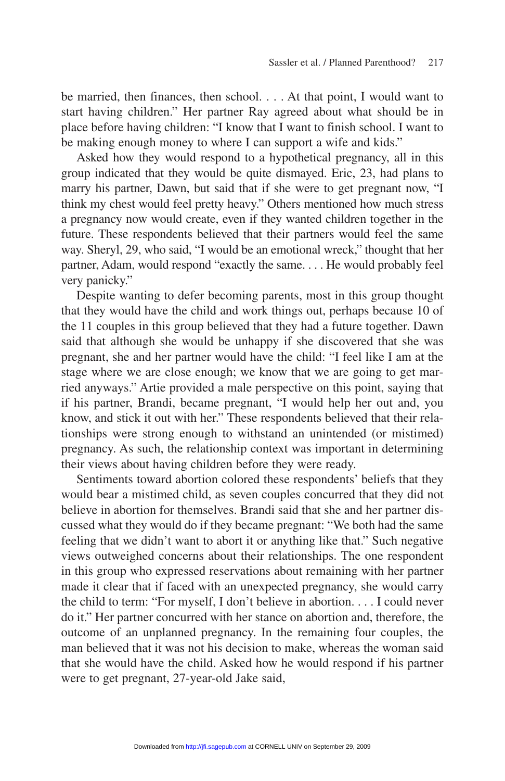be married, then finances, then school. . . . At that point, I would want to start having children." Her partner Ray agreed about what should be in place before having children: "I know that I want to finish school. I want to be making enough money to where I can support a wife and kids."

Asked how they would respond to a hypothetical pregnancy, all in this group indicated that they would be quite dismayed. Eric, 23, had plans to marry his partner, Dawn, but said that if she were to get pregnant now, "I think my chest would feel pretty heavy." Others mentioned how much stress a pregnancy now would create, even if they wanted children together in the future. These respondents believed that their partners would feel the same way. Sheryl, 29, who said, "I would be an emotional wreck," thought that her partner, Adam, would respond "exactly the same. . . . He would probably feel very panicky."

Despite wanting to defer becoming parents, most in this group thought that they would have the child and work things out, perhaps because 10 of the 11 couples in this group believed that they had a future together. Dawn said that although she would be unhappy if she discovered that she was pregnant, she and her partner would have the child: "I feel like I am at the stage where we are close enough; we know that we are going to get married anyways." Artie provided a male perspective on this point, saying that if his partner, Brandi, became pregnant, "I would help her out and, you know, and stick it out with her." These respondents believed that their relationships were strong enough to withstand an unintended (or mistimed) pregnancy. As such, the relationship context was important in determining their views about having children before they were ready.

Sentiments toward abortion colored these respondents' beliefs that they would bear a mistimed child, as seven couples concurred that they did not believe in abortion for themselves. Brandi said that she and her partner discussed what they would do if they became pregnant: "We both had the same feeling that we didn't want to abort it or anything like that." Such negative views outweighed concerns about their relationships. The one respondent in this group who expressed reservations about remaining with her partner made it clear that if faced with an unexpected pregnancy, she would carry the child to term: "For myself, I don't believe in abortion. . . . I could never do it." Her partner concurred with her stance on abortion and, therefore, the outcome of an unplanned pregnancy. In the remaining four couples, the man believed that it was not his decision to make, whereas the woman said that she would have the child. Asked how he would respond if his partner were to get pregnant, 27-year-old Jake said,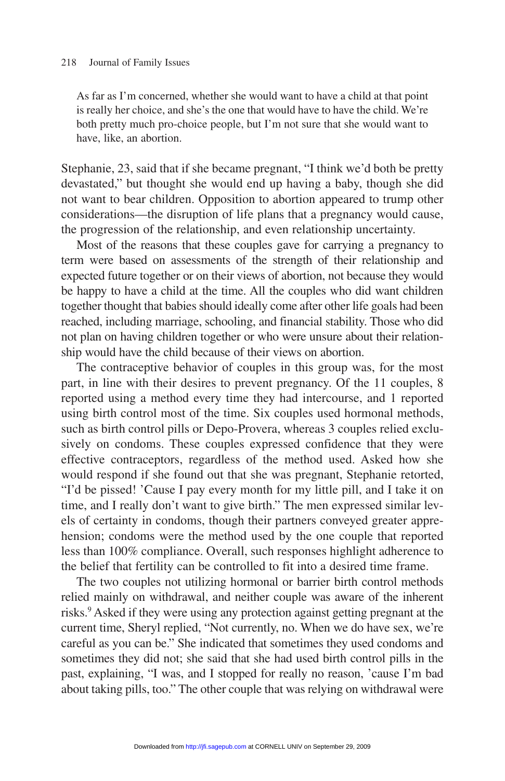As far as I'm concerned, whether she would want to have a child at that point is really her choice, and she's the one that would have to have the child. We're both pretty much pro-choice people, but I'm not sure that she would want to have, like, an abortion.

Stephanie, 23, said that if she became pregnant, "I think we'd both be pretty devastated," but thought she would end up having a baby, though she did not want to bear children. Opposition to abortion appeared to trump other considerations—the disruption of life plans that a pregnancy would cause, the progression of the relationship, and even relationship uncertainty.

Most of the reasons that these couples gave for carrying a pregnancy to term were based on assessments of the strength of their relationship and expected future together or on their views of abortion, not because they would be happy to have a child at the time. All the couples who did want children together thought that babies should ideally come after other life goals had been reached, including marriage, schooling, and financial stability. Those who did not plan on having children together or who were unsure about their relationship would have the child because of their views on abortion.

The contraceptive behavior of couples in this group was, for the most part, in line with their desires to prevent pregnancy. Of the 11 couples, 8 reported using a method every time they had intercourse, and 1 reported using birth control most of the time. Six couples used hormonal methods, such as birth control pills or Depo-Provera, whereas 3 couples relied exclusively on condoms. These couples expressed confidence that they were effective contraceptors, regardless of the method used. Asked how she would respond if she found out that she was pregnant, Stephanie retorted, "I'd be pissed! 'Cause I pay every month for my little pill, and I take it on time, and I really don't want to give birth." The men expressed similar levels of certainty in condoms, though their partners conveyed greater apprehension; condoms were the method used by the one couple that reported less than 100% compliance. Overall, such responses highlight adherence to the belief that fertility can be controlled to fit into a desired time frame.

The two couples not utilizing hormonal or barrier birth control methods relied mainly on withdrawal, and neither couple was aware of the inherent risks.9 Asked if they were using any protection against getting pregnant at the current time, Sheryl replied, "Not currently, no. When we do have sex, we're careful as you can be." She indicated that sometimes they used condoms and sometimes they did not; she said that she had used birth control pills in the past, explaining, "I was, and I stopped for really no reason, 'cause I'm bad about taking pills, too." The other couple that was relying on withdrawal were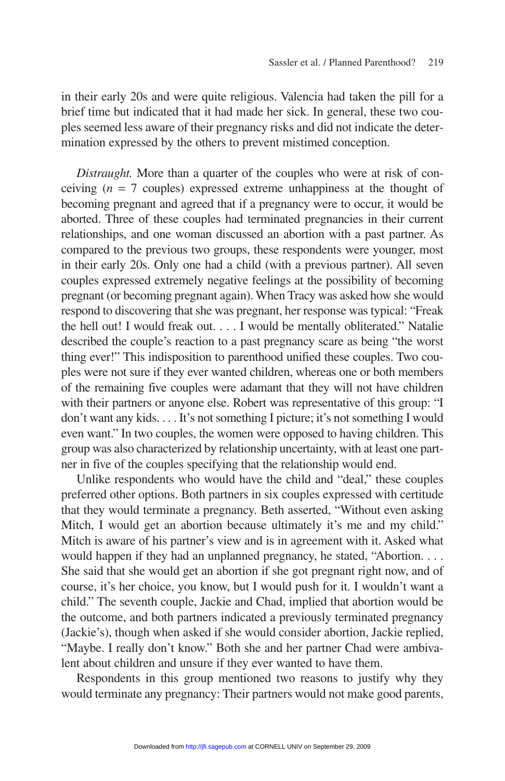in their early 20s and were quite religious. Valencia had taken the pill for a brief time but indicated that it had made her sick. In general, these two couples seemed less aware of their pregnancy risks and did not indicate the determination expressed by the others to prevent mistimed conception.

*Distraught.* More than a quarter of the couples who were at risk of conceiving  $(n = 7$  couples) expressed extreme unhappiness at the thought of becoming pregnant and agreed that if a pregnancy were to occur, it would be aborted. Three of these couples had terminated pregnancies in their current relationships, and one woman discussed an abortion with a past partner. As compared to the previous two groups, these respondents were younger, most in their early 20s. Only one had a child (with a previous partner). All seven couples expressed extremely negative feelings at the possibility of becoming pregnant (or becoming pregnant again). When Tracy was asked how she would respond to discovering that she was pregnant, her response was typical: "Freak the hell out! I would freak out. . . . I would be mentally obliterated." Natalie described the couple's reaction to a past pregnancy scare as being "the worst thing ever!" This indisposition to parenthood unified these couples. Two couples were not sure if they ever wanted children, whereas one or both members of the remaining five couples were adamant that they will not have children with their partners or anyone else. Robert was representative of this group: "I don't want any kids. . . . It's not something I picture; it's not something I would even want." In two couples, the women were opposed to having children. This group was also characterized by relationship uncertainty, with at least one partner in five of the couples specifying that the relationship would end.

Unlike respondents who would have the child and "deal," these couples preferred other options. Both partners in six couples expressed with certitude that they would terminate a pregnancy. Beth asserted, "Without even asking Mitch, I would get an abortion because ultimately it's me and my child." Mitch is aware of his partner's view and is in agreement with it. Asked what would happen if they had an unplanned pregnancy, he stated, "Abortion. . . . She said that she would get an abortion if she got pregnant right now, and of course, it's her choice, you know, but I would push for it. I wouldn't want a child." The seventh couple, Jackie and Chad, implied that abortion would be the outcome, and both partners indicated a previously terminated pregnancy (Jackie's), though when asked if she would consider abortion, Jackie replied, "Maybe. I really don't know." Both she and her partner Chad were ambivalent about children and unsure if they ever wanted to have them.

Respondents in this group mentioned two reasons to justify why they would terminate any pregnancy: Their partners would not make good parents,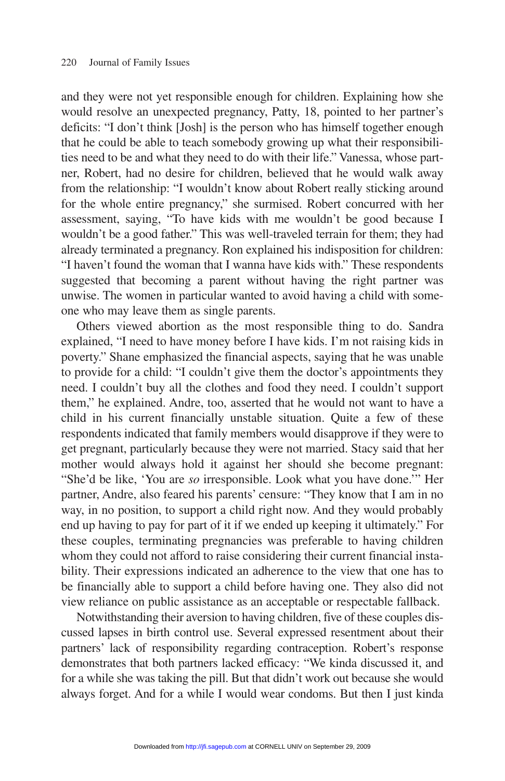and they were not yet responsible enough for children. Explaining how she would resolve an unexpected pregnancy, Patty, 18, pointed to her partner's deficits: "I don't think [Josh] is the person who has himself together enough that he could be able to teach somebody growing up what their responsibilities need to be and what they need to do with their life." Vanessa, whose partner, Robert, had no desire for children, believed that he would walk away from the relationship: "I wouldn't know about Robert really sticking around for the whole entire pregnancy," she surmised. Robert concurred with her assessment, saying, "To have kids with me wouldn't be good because I wouldn't be a good father." This was well-traveled terrain for them; they had already terminated a pregnancy. Ron explained his indisposition for children: "I haven't found the woman that I wanna have kids with." These respondents suggested that becoming a parent without having the right partner was unwise. The women in particular wanted to avoid having a child with someone who may leave them as single parents.

Others viewed abortion as the most responsible thing to do. Sandra explained, "I need to have money before I have kids. I'm not raising kids in poverty." Shane emphasized the financial aspects, saying that he was unable to provide for a child: "I couldn't give them the doctor's appointments they need. I couldn't buy all the clothes and food they need. I couldn't support them," he explained. Andre, too, asserted that he would not want to have a child in his current financially unstable situation. Quite a few of these respondents indicated that family members would disapprove if they were to get pregnant, particularly because they were not married. Stacy said that her mother would always hold it against her should she become pregnant: "She'd be like, 'You are *so* irresponsible. Look what you have done.'" Her partner, Andre, also feared his parents' censure: "They know that I am in no way, in no position, to support a child right now. And they would probably end up having to pay for part of it if we ended up keeping it ultimately." For these couples, terminating pregnancies was preferable to having children whom they could not afford to raise considering their current financial instability. Their expressions indicated an adherence to the view that one has to be financially able to support a child before having one. They also did not view reliance on public assistance as an acceptable or respectable fallback.

Notwithstanding their aversion to having children, five of these couples discussed lapses in birth control use. Several expressed resentment about their partners' lack of responsibility regarding contraception. Robert's response demonstrates that both partners lacked efficacy: "We kinda discussed it, and for a while she was taking the pill. But that didn't work out because she would always forget. And for a while I would wear condoms. But then I just kinda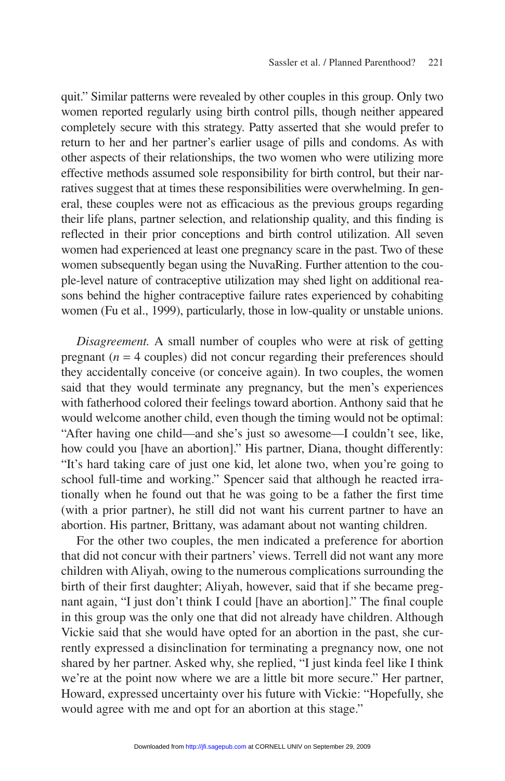quit." Similar patterns were revealed by other couples in this group. Only two women reported regularly using birth control pills, though neither appeared completely secure with this strategy. Patty asserted that she would prefer to return to her and her partner's earlier usage of pills and condoms. As with other aspects of their relationships, the two women who were utilizing more effective methods assumed sole responsibility for birth control, but their narratives suggest that at times these responsibilities were overwhelming. In general, these couples were not as efficacious as the previous groups regarding their life plans, partner selection, and relationship quality, and this finding is reflected in their prior conceptions and birth control utilization. All seven women had experienced at least one pregnancy scare in the past. Two of these women subsequently began using the NuvaRing. Further attention to the couple-level nature of contraceptive utilization may shed light on additional reasons behind the higher contraceptive failure rates experienced by cohabiting women (Fu et al., 1999), particularly, those in low-quality or unstable unions.

*Disagreement.* A small number of couples who were at risk of getting pregnant  $(n = 4$  couples) did not concur regarding their preferences should they accidentally conceive (or conceive again). In two couples, the women said that they would terminate any pregnancy, but the men's experiences with fatherhood colored their feelings toward abortion. Anthony said that he would welcome another child, even though the timing would not be optimal: "After having one child—and she's just so awesome—I couldn't see, like, how could you [have an abortion]." His partner, Diana, thought differently: "It's hard taking care of just one kid, let alone two, when you're going to school full-time and working." Spencer said that although he reacted irrationally when he found out that he was going to be a father the first time (with a prior partner), he still did not want his current partner to have an abortion. His partner, Brittany, was adamant about not wanting children.

For the other two couples, the men indicated a preference for abortion that did not concur with their partners' views. Terrell did not want any more children with Aliyah, owing to the numerous complications surrounding the birth of their first daughter; Aliyah, however, said that if she became pregnant again, "I just don't think I could [have an abortion]." The final couple in this group was the only one that did not already have children. Although Vickie said that she would have opted for an abortion in the past, she currently expressed a disinclination for terminating a pregnancy now, one not shared by her partner. Asked why, she replied, "I just kinda feel like I think we're at the point now where we are a little bit more secure." Her partner, Howard, expressed uncertainty over his future with Vickie: "Hopefully, she would agree with me and opt for an abortion at this stage."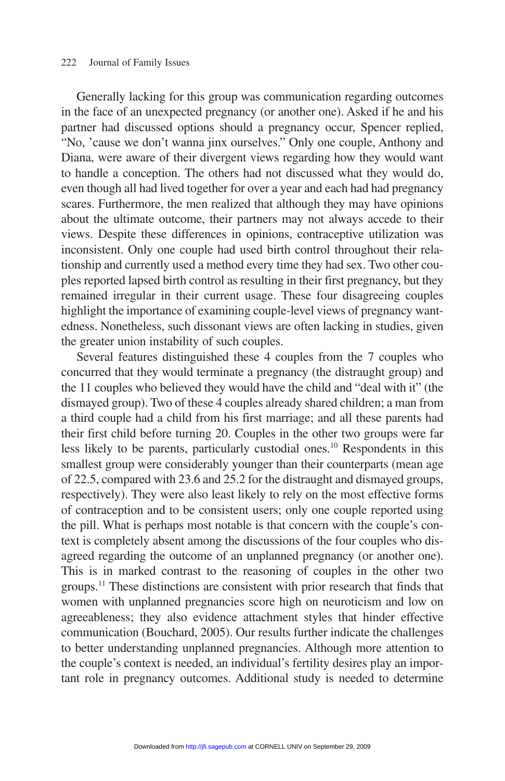Generally lacking for this group was communication regarding outcomes in the face of an unexpected pregnancy (or another one). Asked if he and his partner had discussed options should a pregnancy occur, Spencer replied, "No, 'cause we don't wanna jinx ourselves." Only one couple, Anthony and Diana, were aware of their divergent views regarding how they would want to handle a conception. The others had not discussed what they would do, even though all had lived together for over a year and each had had pregnancy scares. Furthermore, the men realized that although they may have opinions about the ultimate outcome, their partners may not always accede to their views. Despite these differences in opinions, contraceptive utilization was inconsistent. Only one couple had used birth control throughout their relationship and currently used a method every time they had sex. Two other couples reported lapsed birth control as resulting in their first pregnancy, but they remained irregular in their current usage. These four disagreeing couples highlight the importance of examining couple-level views of pregnancy wantedness. Nonetheless, such dissonant views are often lacking in studies, given the greater union instability of such couples.

Several features distinguished these 4 couples from the 7 couples who concurred that they would terminate a pregnancy (the distraught group) and the 11 couples who believed they would have the child and "deal with it" (the dismayed group). Two of these 4 couples already shared children; a man from a third couple had a child from his first marriage; and all these parents had their first child before turning 20. Couples in the other two groups were far less likely to be parents, particularly custodial ones.10 Respondents in this smallest group were considerably younger than their counterparts (mean age of 22.5, compared with 23.6 and 25.2 for the distraught and dismayed groups, respectively). They were also least likely to rely on the most effective forms of contraception and to be consistent users; only one couple reported using the pill. What is perhaps most notable is that concern with the couple's context is completely absent among the discussions of the four couples who disagreed regarding the outcome of an unplanned pregnancy (or another one). This is in marked contrast to the reasoning of couples in the other two groups.11 These distinctions are consistent with prior research that finds that women with unplanned pregnancies score high on neuroticism and low on agreeableness; they also evidence attachment styles that hinder effective communication (Bouchard, 2005). Our results further indicate the challenges to better understanding unplanned pregnancies. Although more attention to the couple's context is needed, an individual's fertility desires play an important role in pregnancy outcomes. Additional study is needed to determine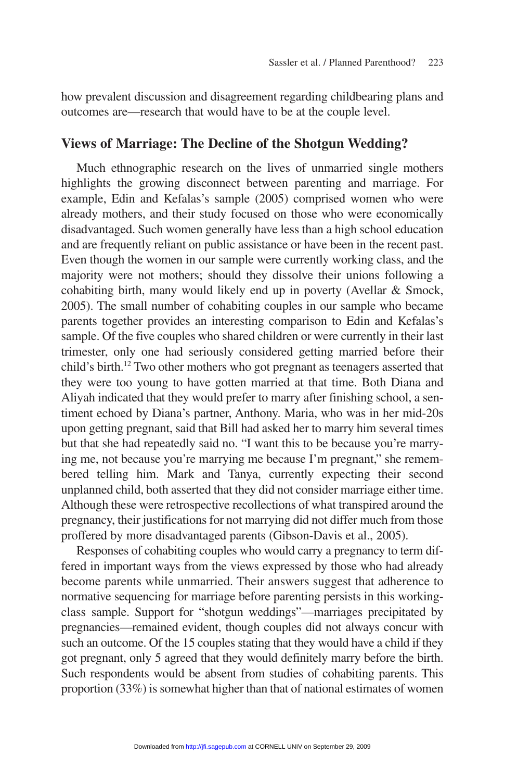how prevalent discussion and disagreement regarding childbearing plans and outcomes are—research that would have to be at the couple level.

## **Views of Marriage: The Decline of the Shotgun Wedding?**

Much ethnographic research on the lives of unmarried single mothers highlights the growing disconnect between parenting and marriage. For example, Edin and Kefalas's sample (2005) comprised women who were already mothers, and their study focused on those who were economically disadvantaged. Such women generally have less than a high school education and are frequently reliant on public assistance or have been in the recent past. Even though the women in our sample were currently working class, and the majority were not mothers; should they dissolve their unions following a cohabiting birth, many would likely end up in poverty (Avellar & Smock, 2005). The small number of cohabiting couples in our sample who became parents together provides an interesting comparison to Edin and Kefalas's sample. Of the five couples who shared children or were currently in their last trimester, only one had seriously considered getting married before their child's birth.12 Two other mothers who got pregnant as teenagers asserted that they were too young to have gotten married at that time. Both Diana and Aliyah indicated that they would prefer to marry after finishing school, a sentiment echoed by Diana's partner, Anthony. Maria, who was in her mid-20s upon getting pregnant, said that Bill had asked her to marry him several times but that she had repeatedly said no. "I want this to be because you're marrying me, not because you're marrying me because I'm pregnant," she remembered telling him. Mark and Tanya, currently expecting their second unplanned child, both asserted that they did not consider marriage either time. Although these were retrospective recollections of what transpired around the pregnancy, their justifications for not marrying did not differ much from those proffered by more disadvantaged parents (Gibson-Davis et al., 2005).

Responses of cohabiting couples who would carry a pregnancy to term differed in important ways from the views expressed by those who had already become parents while unmarried. Their answers suggest that adherence to normative sequencing for marriage before parenting persists in this workingclass sample. Support for "shotgun weddings"—marriages precipitated by pregnancies—remained evident, though couples did not always concur with such an outcome. Of the 15 couples stating that they would have a child if they got pregnant, only 5 agreed that they would definitely marry before the birth. Such respondents would be absent from studies of cohabiting parents. This proportion (33%) is somewhat higher than that of national estimates of women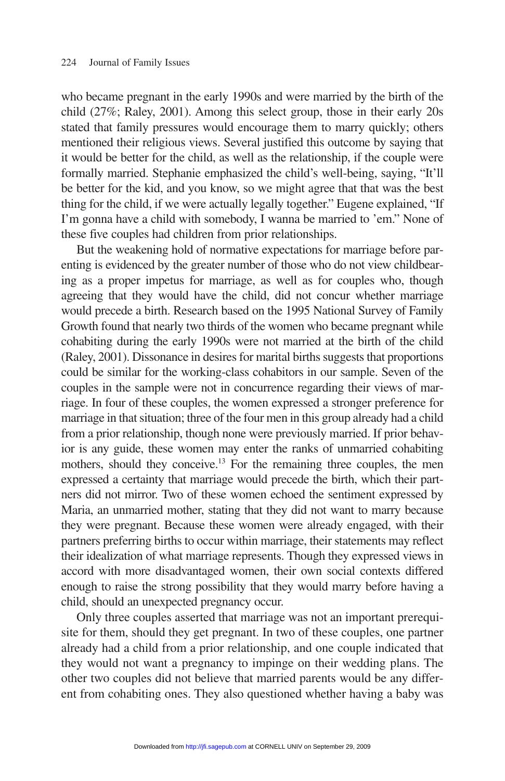who became pregnant in the early 1990s and were married by the birth of the child (27%; Raley, 2001). Among this select group, those in their early 20s stated that family pressures would encourage them to marry quickly; others mentioned their religious views. Several justified this outcome by saying that it would be better for the child, as well as the relationship, if the couple were formally married. Stephanie emphasized the child's well-being, saying, "It'll be better for the kid, and you know, so we might agree that that was the best thing for the child, if we were actually legally together." Eugene explained, "If I'm gonna have a child with somebody, I wanna be married to 'em." None of these five couples had children from prior relationships.

But the weakening hold of normative expectations for marriage before parenting is evidenced by the greater number of those who do not view childbearing as a proper impetus for marriage, as well as for couples who, though agreeing that they would have the child, did not concur whether marriage would precede a birth. Research based on the 1995 National Survey of Family Growth found that nearly two thirds of the women who became pregnant while cohabiting during the early 1990s were not married at the birth of the child (Raley, 2001). Dissonance in desires for marital births suggests that proportions could be similar for the working-class cohabitors in our sample. Seven of the couples in the sample were not in concurrence regarding their views of marriage. In four of these couples, the women expressed a stronger preference for marriage in that situation; three of the four men in this group already had a child from a prior relationship, though none were previously married. If prior behavior is any guide, these women may enter the ranks of unmarried cohabiting mothers, should they conceive.<sup>13</sup> For the remaining three couples, the men expressed a certainty that marriage would precede the birth, which their partners did not mirror. Two of these women echoed the sentiment expressed by Maria, an unmarried mother, stating that they did not want to marry because they were pregnant. Because these women were already engaged, with their partners preferring births to occur within marriage, their statements may reflect their idealization of what marriage represents. Though they expressed views in accord with more disadvantaged women, their own social contexts differed enough to raise the strong possibility that they would marry before having a child, should an unexpected pregnancy occur.

Only three couples asserted that marriage was not an important prerequisite for them, should they get pregnant. In two of these couples, one partner already had a child from a prior relationship, and one couple indicated that they would not want a pregnancy to impinge on their wedding plans. The other two couples did not believe that married parents would be any different from cohabiting ones. They also questioned whether having a baby was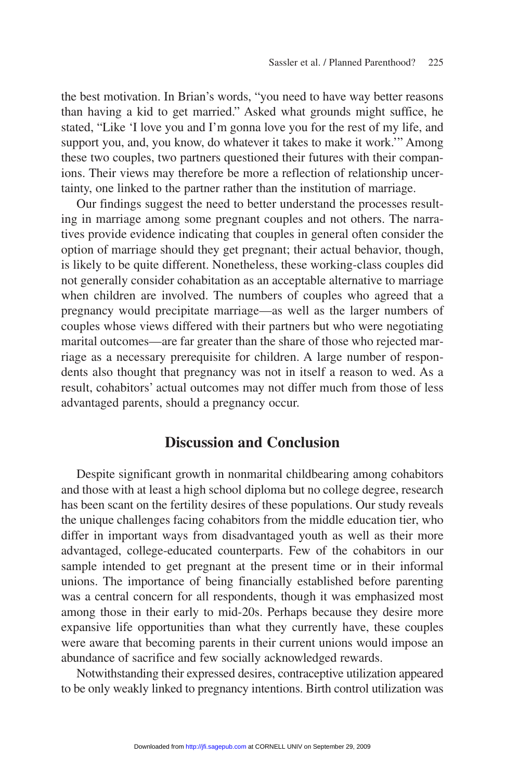the best motivation. In Brian's words, "you need to have way better reasons than having a kid to get married." Asked what grounds might suffice, he stated, "Like 'I love you and I'm gonna love you for the rest of my life, and support you, and, you know, do whatever it takes to make it work.'" Among these two couples, two partners questioned their futures with their companions. Their views may therefore be more a reflection of relationship uncertainty, one linked to the partner rather than the institution of marriage.

Our findings suggest the need to better understand the processes resulting in marriage among some pregnant couples and not others. The narratives provide evidence indicating that couples in general often consider the option of marriage should they get pregnant; their actual behavior, though, is likely to be quite different. Nonetheless, these working-class couples did not generally consider cohabitation as an acceptable alternative to marriage when children are involved. The numbers of couples who agreed that a pregnancy would precipitate marriage—as well as the larger numbers of couples whose views differed with their partners but who were negotiating marital outcomes—are far greater than the share of those who rejected marriage as a necessary prerequisite for children. A large number of respondents also thought that pregnancy was not in itself a reason to wed. As a result, cohabitors' actual outcomes may not differ much from those of less advantaged parents, should a pregnancy occur.

#### **Discussion and Conclusion**

Despite significant growth in nonmarital childbearing among cohabitors and those with at least a high school diploma but no college degree, research has been scant on the fertility desires of these populations. Our study reveals the unique challenges facing cohabitors from the middle education tier, who differ in important ways from disadvantaged youth as well as their more advantaged, college-educated counterparts. Few of the cohabitors in our sample intended to get pregnant at the present time or in their informal unions. The importance of being financially established before parenting was a central concern for all respondents, though it was emphasized most among those in their early to mid-20s. Perhaps because they desire more expansive life opportunities than what they currently have, these couples were aware that becoming parents in their current unions would impose an abundance of sacrifice and few socially acknowledged rewards.

Notwithstanding their expressed desires, contraceptive utilization appeared to be only weakly linked to pregnancy intentions. Birth control utilization was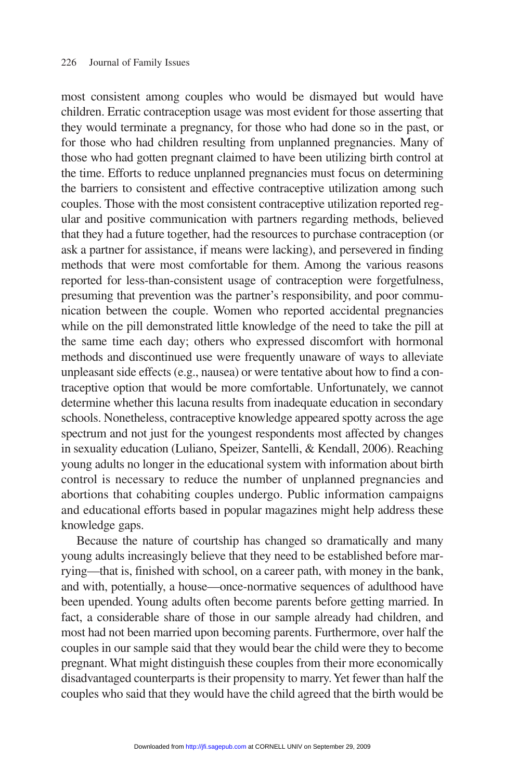most consistent among couples who would be dismayed but would have children. Erratic contraception usage was most evident for those asserting that they would terminate a pregnancy, for those who had done so in the past, or for those who had children resulting from unplanned pregnancies. Many of those who had gotten pregnant claimed to have been utilizing birth control at the time. Efforts to reduce unplanned pregnancies must focus on determining the barriers to consistent and effective contraceptive utilization among such couples. Those with the most consistent contraceptive utilization reported regular and positive communication with partners regarding methods, believed that they had a future together, had the resources to purchase contraception (or ask a partner for assistance, if means were lacking), and persevered in finding methods that were most comfortable for them. Among the various reasons reported for less-than-consistent usage of contraception were forgetfulness, presuming that prevention was the partner's responsibility, and poor communication between the couple. Women who reported accidental pregnancies while on the pill demonstrated little knowledge of the need to take the pill at the same time each day; others who expressed discomfort with hormonal methods and discontinued use were frequently unaware of ways to alleviate unpleasant side effects (e.g., nausea) or were tentative about how to find a contraceptive option that would be more comfortable. Unfortunately, we cannot determine whether this lacuna results from inadequate education in secondary schools. Nonetheless, contraceptive knowledge appeared spotty across the age spectrum and not just for the youngest respondents most affected by changes in sexuality education (Luliano, Speizer, Santelli, & Kendall, 2006). Reaching young adults no longer in the educational system with information about birth control is necessary to reduce the number of unplanned pregnancies and abortions that cohabiting couples undergo. Public information campaigns and educational efforts based in popular magazines might help address these knowledge gaps.

Because the nature of courtship has changed so dramatically and many young adults increasingly believe that they need to be established before marrying—that is, finished with school, on a career path, with money in the bank, and with, potentially, a house—once-normative sequences of adulthood have been upended. Young adults often become parents before getting married. In fact, a considerable share of those in our sample already had children, and most had not been married upon becoming parents. Furthermore, over half the couples in our sample said that they would bear the child were they to become pregnant. What might distinguish these couples from their more economically disadvantaged counterparts is their propensity to marry. Yet fewer than half the couples who said that they would have the child agreed that the birth would be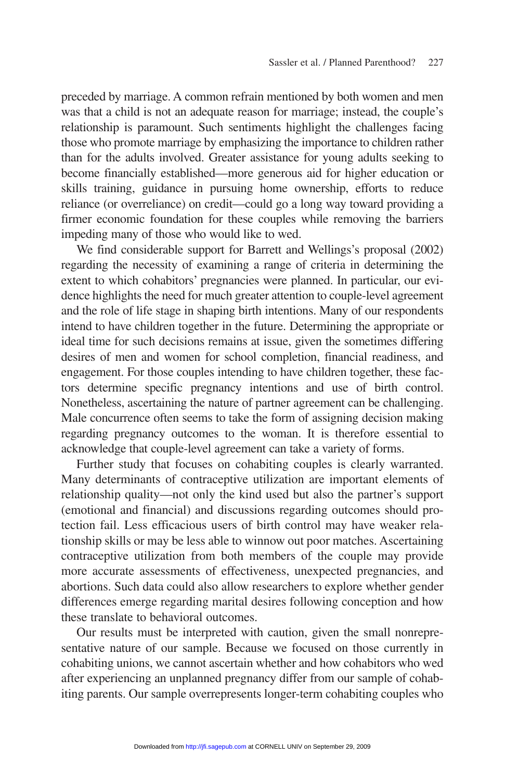preceded by marriage. A common refrain mentioned by both women and men was that a child is not an adequate reason for marriage; instead, the couple's relationship is paramount. Such sentiments highlight the challenges facing those who promote marriage by emphasizing the importance to children rather than for the adults involved. Greater assistance for young adults seeking to become financially established—more generous aid for higher education or skills training, guidance in pursuing home ownership, efforts to reduce reliance (or overreliance) on credit—could go a long way toward providing a firmer economic foundation for these couples while removing the barriers impeding many of those who would like to wed.

We find considerable support for Barrett and Wellings's proposal (2002) regarding the necessity of examining a range of criteria in determining the extent to which cohabitors' pregnancies were planned. In particular, our evidence highlights the need for much greater attention to couple-level agreement and the role of life stage in shaping birth intentions. Many of our respondents intend to have children together in the future. Determining the appropriate or ideal time for such decisions remains at issue, given the sometimes differing desires of men and women for school completion, financial readiness, and engagement. For those couples intending to have children together, these factors determine specific pregnancy intentions and use of birth control. Nonetheless, ascertaining the nature of partner agreement can be challenging. Male concurrence often seems to take the form of assigning decision making regarding pregnancy outcomes to the woman. It is therefore essential to acknowledge that couple-level agreement can take a variety of forms.

Further study that focuses on cohabiting couples is clearly warranted. Many determinants of contraceptive utilization are important elements of relationship quality—not only the kind used but also the partner's support (emotional and financial) and discussions regarding outcomes should protection fail. Less efficacious users of birth control may have weaker relationship skills or may be less able to winnow out poor matches. Ascertaining contraceptive utilization from both members of the couple may provide more accurate assessments of effectiveness, unexpected pregnancies, and abortions. Such data could also allow researchers to explore whether gender differences emerge regarding marital desires following conception and how these translate to behavioral outcomes.

Our results must be interpreted with caution, given the small nonrepresentative nature of our sample. Because we focused on those currently in cohabiting unions, we cannot ascertain whether and how cohabitors who wed after experiencing an unplanned pregnancy differ from our sample of cohabiting parents. Our sample overrepresents longer-term cohabiting couples who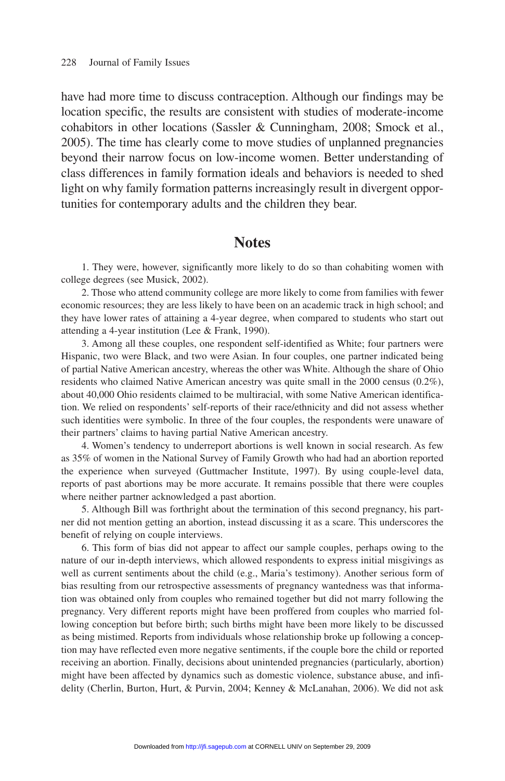have had more time to discuss contraception. Although our findings may be location specific, the results are consistent with studies of moderate-income cohabitors in other locations (Sassler & Cunningham, 2008; Smock et al., 2005). The time has clearly come to move studies of unplanned pregnancies beyond their narrow focus on low-income women. Better understanding of class differences in family formation ideals and behaviors is needed to shed light on why family formation patterns increasingly result in divergent opportunities for contemporary adults and the children they bear.

#### **Notes**

1. They were, however, significantly more likely to do so than cohabiting women with college degrees (see Musick, 2002).

2. Those who attend community college are more likely to come from families with fewer economic resources; they are less likely to have been on an academic track in high school; and they have lower rates of attaining a 4-year degree, when compared to students who start out attending a 4-year institution (Lee & Frank, 1990).

3. Among all these couples, one respondent self-identified as White; four partners were Hispanic, two were Black, and two were Asian. In four couples, one partner indicated being of partial Native American ancestry, whereas the other was White. Although the share of Ohio residents who claimed Native American ancestry was quite small in the 2000 census (0.2%), about 40,000 Ohio residents claimed to be multiracial, with some Native American identification. We relied on respondents' self-reports of their race/ethnicity and did not assess whether such identities were symbolic. In three of the four couples, the respondents were unaware of their partners' claims to having partial Native American ancestry.

4. Women's tendency to underreport abortions is well known in social research. As few as 35% of women in the National Survey of Family Growth who had had an abortion reported the experience when surveyed (Guttmacher Institute, 1997). By using couple-level data, reports of past abortions may be more accurate. It remains possible that there were couples where neither partner acknowledged a past abortion.

5. Although Bill was forthright about the termination of this second pregnancy, his partner did not mention getting an abortion, instead discussing it as a scare. This underscores the benefit of relying on couple interviews.

6. This form of bias did not appear to affect our sample couples, perhaps owing to the nature of our in-depth interviews, which allowed respondents to express initial misgivings as well as current sentiments about the child (e.g., Maria's testimony). Another serious form of bias resulting from our retrospective assessments of pregnancy wantedness was that information was obtained only from couples who remained together but did not marry following the pregnancy. Very different reports might have been proffered from couples who married following conception but before birth; such births might have been more likely to be discussed as being mistimed. Reports from individuals whose relationship broke up following a conception may have reflected even more negative sentiments, if the couple bore the child or reported receiving an abortion. Finally, decisions about unintended pregnancies (particularly, abortion) might have been affected by dynamics such as domestic violence, substance abuse, and infidelity (Cherlin, Burton, Hurt, & Purvin, 2004; Kenney & McLanahan, 2006). We did not ask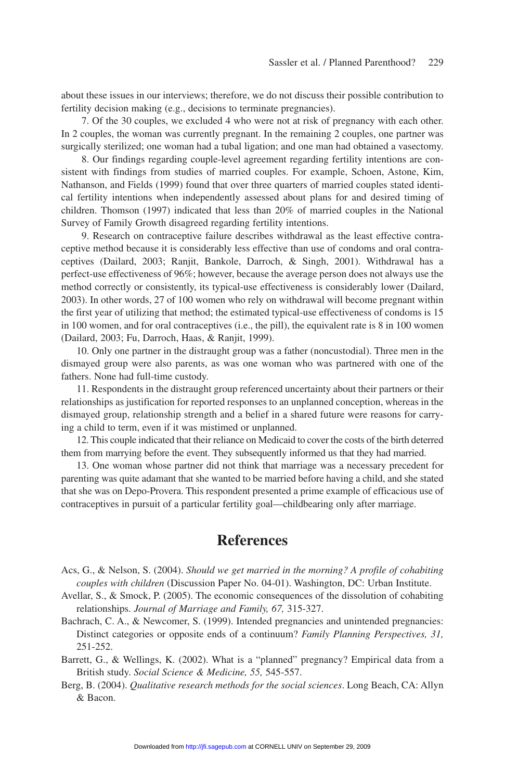about these issues in our interviews; therefore, we do not discuss their possible contribution to fertility decision making (e.g., decisions to terminate pregnancies).

7. Of the 30 couples, we excluded 4 who were not at risk of pregnancy with each other. In 2 couples, the woman was currently pregnant. In the remaining 2 couples, one partner was surgically sterilized; one woman had a tubal ligation; and one man had obtained a vasectomy.

8. Our findings regarding couple-level agreement regarding fertility intentions are consistent with findings from studies of married couples. For example, Schoen, Astone, Kim, Nathanson, and Fields (1999) found that over three quarters of married couples stated identical fertility intentions when independently assessed about plans for and desired timing of children. Thomson (1997) indicated that less than 20% of married couples in the National Survey of Family Growth disagreed regarding fertility intentions.

9. Research on contraceptive failure describes withdrawal as the least effective contraceptive method because it is considerably less effective than use of condoms and oral contraceptives (Dailard, 2003; Ranjit, Bankole, Darroch, & Singh, 2001). Withdrawal has a perfect-use effectiveness of 96%; however, because the average person does not always use the method correctly or consistently, its typical-use effectiveness is considerably lower (Dailard, 2003). In other words, 27 of 100 women who rely on withdrawal will become pregnant within the first year of utilizing that method; the estimated typical-use effectiveness of condoms is 15 in 100 women, and for oral contraceptives (i.e., the pill), the equivalent rate is 8 in 100 women (Dailard, 2003; Fu, Darroch, Haas, & Ranjit, 1999).

10. Only one partner in the distraught group was a father (noncustodial). Three men in the dismayed group were also parents, as was one woman who was partnered with one of the fathers. None had full-time custody.

11. Respondents in the distraught group referenced uncertainty about their partners or their relationships as justification for reported responses to an unplanned conception, whereas in the dismayed group, relationship strength and a belief in a shared future were reasons for carrying a child to term, even if it was mistimed or unplanned.

12. This couple indicated that their reliance on Medicaid to cover the costs of the birth deterred them from marrying before the event. They subsequently informed us that they had married.

13. One woman whose partner did not think that marriage was a necessary precedent for parenting was quite adamant that she wanted to be married before having a child, and she stated that she was on Depo-Provera. This respondent presented a prime example of efficacious use of contraceptives in pursuit of a particular fertility goal—childbearing only after marriage.

## **References**

- Acs, G., & Nelson, S. (2004). *Should we get married in the morning? A profile of cohabiting couples with children* (Discussion Paper No. 04-01). Washington, DC: Urban Institute.
- Avellar, S., & Smock, P. (2005). The economic consequences of the dissolution of cohabiting relationships. *Journal of Marriage and Family, 67,* 315-327.
- Bachrach, C. A., & Newcomer, S. (1999). Intended pregnancies and unintended pregnancies: Distinct categories or opposite ends of a continuum? *Family Planning Perspectives, 31,* 251-252.
- Barrett, G., & Wellings, K. (2002). What is a "planned" pregnancy? Empirical data from a British study. *Social Science & Medicine, 55,* 545-557.
- Berg, B. (2004). *Qualitative research methods for the social sciences*. Long Beach, CA: Allyn & Bacon.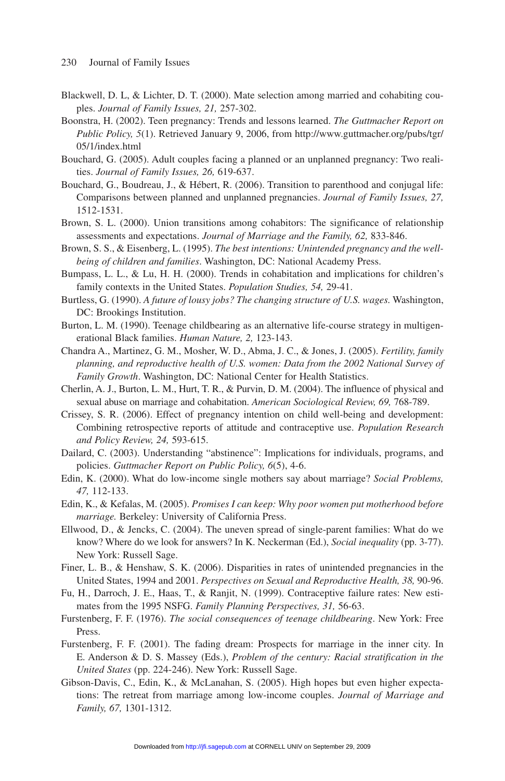- Blackwell, D. L, & Lichter, D. T. (2000). Mate selection among married and cohabiting couples. *Journal of Family Issues, 21,* 257-302.
- Boonstra, H. (2002). Teen pregnancy: Trends and lessons learned. *The Guttmacher Report on Public Policy, 5*(1). Retrieved January 9, 2006, from http://www.guttmacher.org/pubs/tgr/ 05/1/index.html
- Bouchard, G. (2005). Adult couples facing a planned or an unplanned pregnancy: Two realities. *Journal of Family Issues, 26,* 619-637.
- Bouchard, G., Boudreau, J., & Hébert, R. (2006). Transition to parenthood and conjugal life: Comparisons between planned and unplanned pregnancies. *Journal of Family Issues, 27,* 1512-1531.
- Brown, S. L. (2000). Union transitions among cohabitors: The significance of relationship assessments and expectations. *Journal of Marriage and the Family, 62,* 833-846.
- Brown, S. S., & Eisenberg, L. (1995). *The best intentions: Unintended pregnancy and the wellbeing of children and families*. Washington, DC: National Academy Press.
- Bumpass, L. L., & Lu, H. H. (2000). Trends in cohabitation and implications for children's family contexts in the United States. *Population Studies, 54,* 29-41.
- Burtless, G. (1990). *A future of lousy jobs? The changing structure of U.S. wages.* Washington, DC: Brookings Institution.
- Burton, L. M. (1990). Teenage childbearing as an alternative life-course strategy in multigenerational Black families. *Human Nature, 2,* 123-143.
- Chandra A., Martinez, G. M., Mosher, W. D., Abma, J. C., & Jones, J. (2005). *Fertility, family planning, and reproductive health of U.S. women: Data from the 2002 National Survey of Family Growth*. Washington, DC: National Center for Health Statistics.
- Cherlin, A. J., Burton, L. M., Hurt, T. R., & Purvin, D. M. (2004). The influence of physical and sexual abuse on marriage and cohabitation. *American Sociological Review, 69,* 768-789.
- Crissey, S. R. (2006). Effect of pregnancy intention on child well-being and development: Combining retrospective reports of attitude and contraceptive use. *Population Research and Policy Review, 24,* 593-615.
- Dailard, C. (2003). Understanding "abstinence": Implications for individuals, programs, and policies. *Guttmacher Report on Public Policy, 6*(5), 4-6.
- Edin, K. (2000). What do low-income single mothers say about marriage? *Social Problems, 47,* 112-133.
- Edin, K., & Kefalas, M. (2005). *Promises I can keep: Why poor women put motherhood before marriage.* Berkeley: University of California Press.
- Ellwood, D., & Jencks, C. (2004). The uneven spread of single-parent families: What do we know? Where do we look for answers? In K. Neckerman (Ed.), *Social inequality* (pp. 3-77). New York: Russell Sage.
- Finer, L. B., & Henshaw, S. K. (2006). Disparities in rates of unintended pregnancies in the United States, 1994 and 2001. *Perspectives on Sexual and Reproductive Health, 38,* 90-96.
- Fu, H., Darroch, J. E., Haas, T., & Ranjit, N. (1999). Contraceptive failure rates: New estimates from the 1995 NSFG. *Family Planning Perspectives, 31,* 56-63.
- Furstenberg, F. F. (1976). *The social consequences of teenage childbearing*. New York: Free Press.
- Furstenberg, F. F. (2001). The fading dream: Prospects for marriage in the inner city. In E. Anderson & D. S. Massey (Eds.), *Problem of the century: Racial stratification in the United States* (pp. 224-246). New York: Russell Sage.
- Gibson-Davis, C., Edin, K., & McLanahan, S. (2005). High hopes but even higher expectations: The retreat from marriage among low-income couples. *Journal of Marriage and Family, 67,* 1301-1312.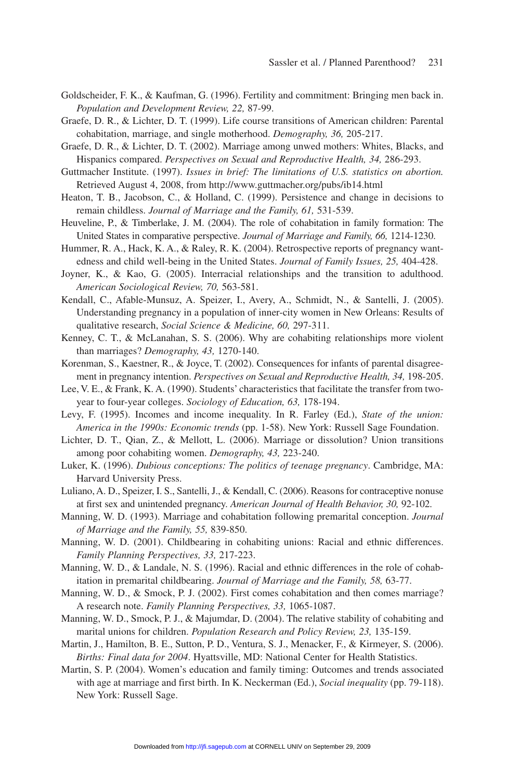- Goldscheider, F. K., & Kaufman, G. (1996). Fertility and commitment: Bringing men back in. *Population and Development Review, 22,* 87-99.
- Graefe, D. R., & Lichter, D. T. (1999). Life course transitions of American children: Parental cohabitation, marriage, and single motherhood. *Demography, 36,* 205-217.
- Graefe, D. R., & Lichter, D. T. (2002). Marriage among unwed mothers: Whites, Blacks, and Hispanics compared. *Perspectives on Sexual and Reproductive Health, 34,* 286-293.
- Guttmacher Institute. (1997). *Issues in brief: The limitations of U.S. statistics on abortion.* Retrieved August 4, 2008, from http://www.guttmacher.org/pubs/ib14.html
- Heaton, T. B., Jacobson, C., & Holland, C. (1999). Persistence and change in decisions to remain childless. *Journal of Marriage and the Family, 61,* 531-539.
- Heuveline, P., & Timberlake, J. M. (2004). The role of cohabitation in family formation: The United States in comparative perspective. *Journal of Marriage and Family, 66,* 1214-1230.
- Hummer, R. A., Hack, K. A., & Raley, R. K. (2004). Retrospective reports of pregnancy wantedness and child well-being in the United States. *Journal of Family Issues, 25,* 404-428.
- Joyner, K., & Kao, G. (2005). Interracial relationships and the transition to adulthood. *American Sociological Review, 70,* 563-581.
- Kendall, C., Afable-Munsuz, A. Speizer, I., Avery, A., Schmidt, N., & Santelli, J. (2005). Understanding pregnancy in a population of inner-city women in New Orleans: Results of qualitative research, *Social Science & Medicine, 60,* 297-311.
- Kenney, C. T., & McLanahan, S. S. (2006). Why are cohabiting relationships more violent than marriages? *Demography, 43,* 1270-140.
- Korenman, S., Kaestner, R., & Joyce, T. (2002). Consequences for infants of parental disagreement in pregnancy intention. *Perspectives on Sexual and Reproductive Health, 34,* 198-205.
- Lee, V. E., & Frank, K. A. (1990). Students' characteristics that facilitate the transfer from twoyear to four-year colleges. *Sociology of Education, 63,* 178-194.
- Levy, F. (1995). Incomes and income inequality. In R. Farley (Ed.), *State of the union: America in the 1990s: Economic trends* (pp. 1-58). New York: Russell Sage Foundation.
- Lichter, D. T., Qian, Z., & Mellott, L. (2006). Marriage or dissolution? Union transitions among poor cohabiting women. *Demography, 43,* 223-240.
- Luker, K. (1996). *Dubious conceptions: The politics of teenage pregnancy*. Cambridge, MA: Harvard University Press.
- Luliano, A. D., Speizer, I. S., Santelli, J., & Kendall, C. (2006). Reasons for contraceptive nonuse at first sex and unintended pregnancy. *American Journal of Health Behavior, 30,* 92-102.
- Manning, W. D. (1993). Marriage and cohabitation following premarital conception. *Journal of Marriage and the Family, 55,* 839-850.
- Manning, W. D. (2001). Childbearing in cohabiting unions: Racial and ethnic differences. *Family Planning Perspectives, 33,* 217-223.
- Manning, W. D., & Landale, N. S. (1996). Racial and ethnic differences in the role of cohabitation in premarital childbearing. *Journal of Marriage and the Family, 58,* 63-77.
- Manning, W. D., & Smock, P. J. (2002). First comes cohabitation and then comes marriage? A research note. *Family Planning Perspectives, 33,* 1065-1087.
- Manning, W. D., Smock, P. J., & Majumdar, D. (2004). The relative stability of cohabiting and marital unions for children. *Population Research and Policy Review, 23,* 135-159.
- Martin, J., Hamilton, B. E., Sutton, P. D., Ventura, S. J., Menacker, F., & Kirmeyer, S. (2006). *Births: Final data for 2004*. Hyattsville, MD: National Center for Health Statistics.
- Martin, S. P. (2004). Women's education and family timing: Outcomes and trends associated with age at marriage and first birth. In K. Neckerman (Ed.), *Social inequality* (pp. 79-118). New York: Russell Sage.